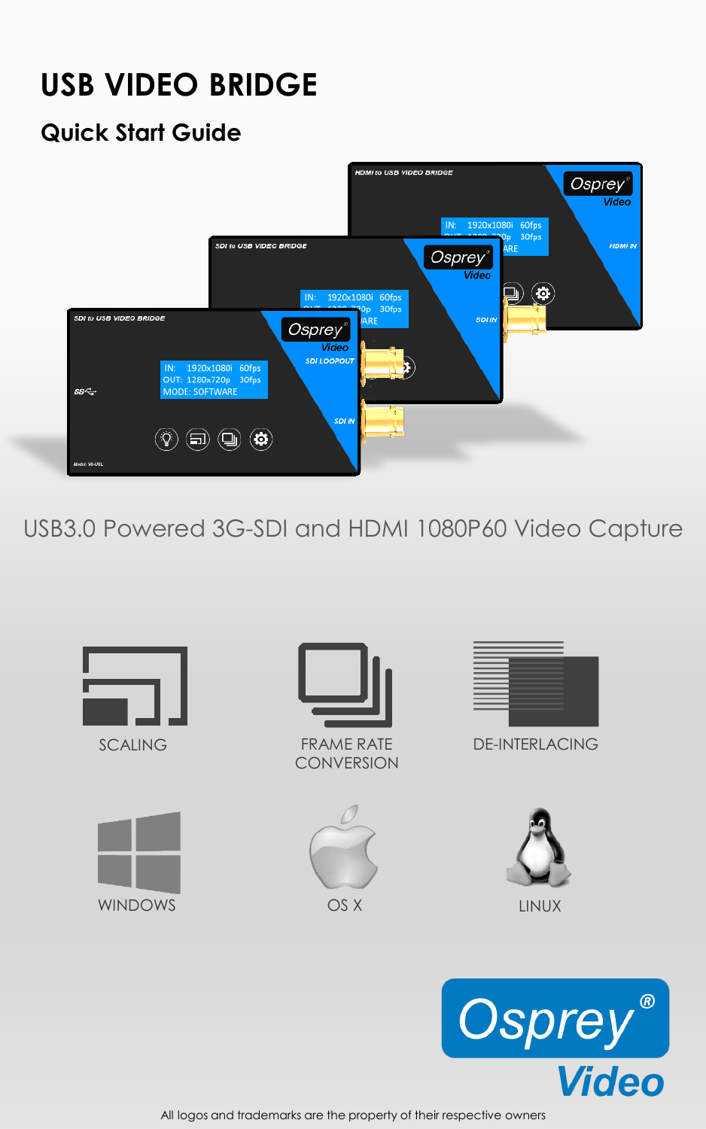# **USB VIDEO BRIDGE**

### **Quick Start Guide**



USB3.0 Powered 3G-SDI and HDMI 1080P60 Video Capture





All logos and trademarks are the property of their respective owners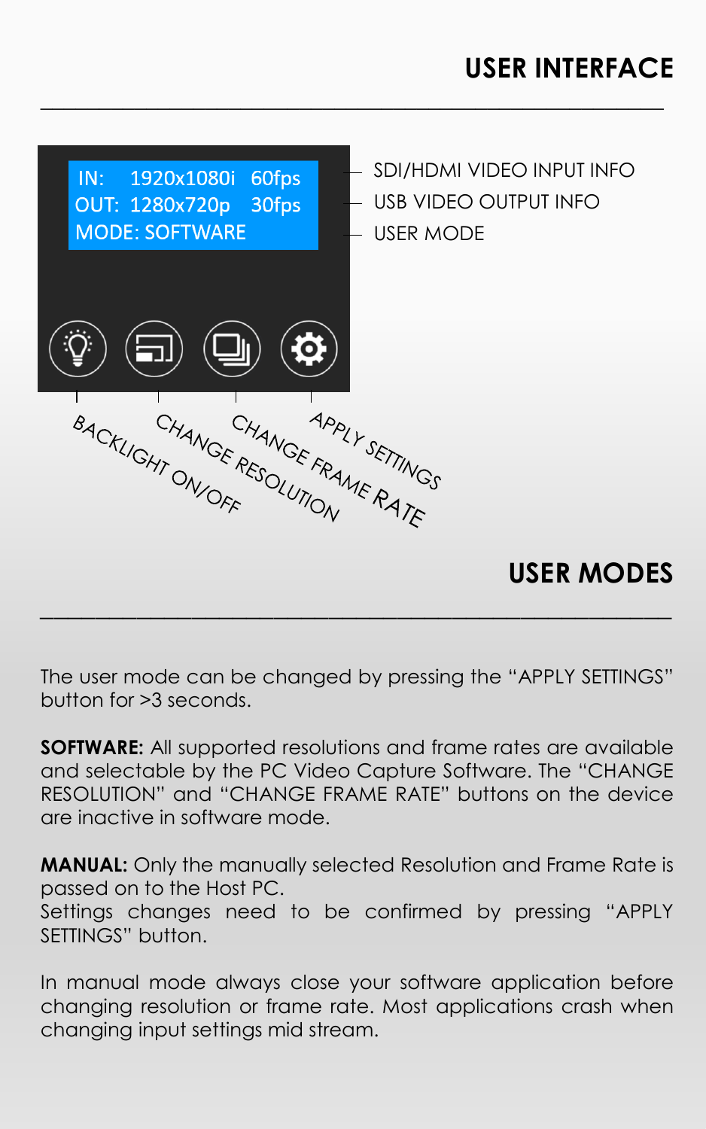## **USER INTERFACE**



**\_\_\_\_\_\_\_\_\_\_\_\_\_\_\_\_\_\_\_\_\_\_\_\_\_\_\_\_\_\_\_\_\_\_\_\_\_\_\_\_\_\_\_\_\_\_\_\_\_\_\_\_\_**

The user mode can be changed by pressing the "APPLY SETTINGS" button for >3 seconds.

**SOFTWARE:** All supported resolutions and frame rates are available and selectable by the PC Video Capture Software. The "CHANGE RESOLUTION" and "CHANGE FRAME RATE" buttons on the device are inactive in software mode.

**MANUAL:** Only the manually selected Resolution and Frame Rate is passed on to the Host PC.

Settings changes need to be confirmed by pressing "APPLY SETTINGS" button.

In manual mode always close your software application before changing resolution or frame rate. Most applications crash when changing input settings mid stream.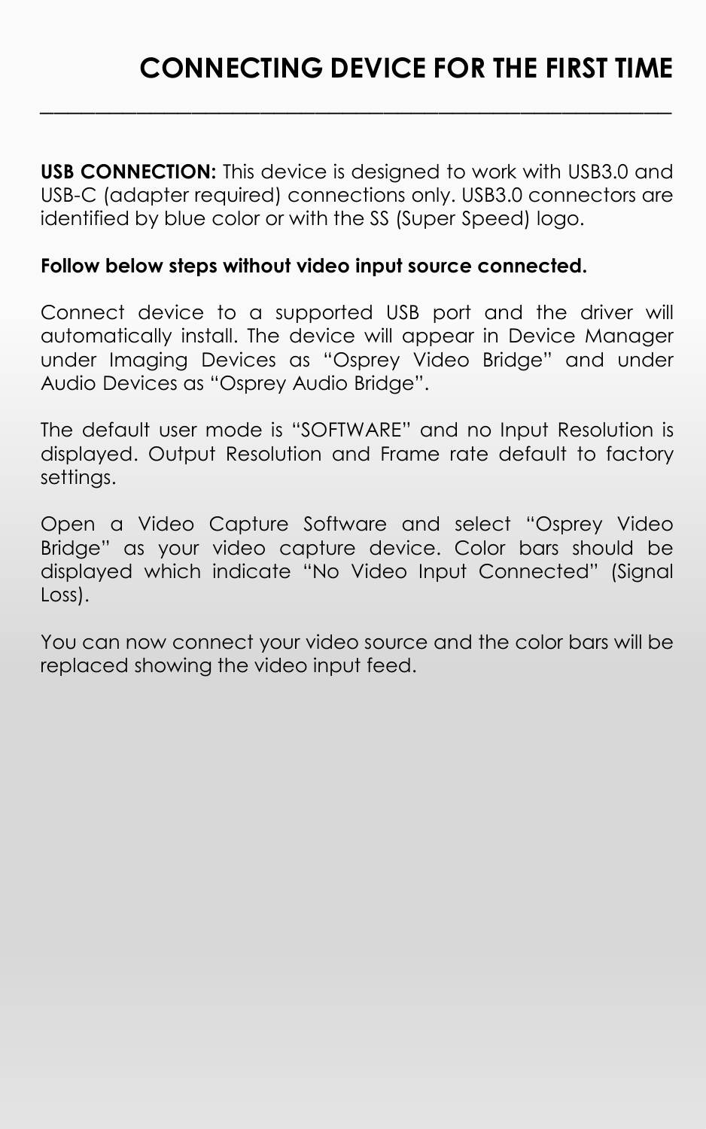**USB CONNECTION:** This device is designed to work with USB3.0 and USB-C (adapter required) connections only. USB3.0 connectors are identified by blue color or with the SS (Super Speed) logo.

**\_\_\_\_\_\_\_\_\_\_\_\_\_\_\_\_\_\_\_\_\_\_\_\_\_\_\_\_\_\_\_\_\_\_\_\_\_\_\_\_\_\_\_\_\_\_**

#### **Follow below steps without video input source connected.**

Connect device to a supported USB port and the driver will automatically install. The device will appear in Device Manager under Imaging Devices as "Osprey Video Bridge" and under Audio Devices as "Osprey Audio Bridge".

The default user mode is "SOFTWARE" and no Input Resolution is displayed. Output Resolution and Frame rate default to factory settings.

Open a Video Capture Software and select "Osprey Video Bridge" as your video capture device. Color bars should be displayed which indicate "No Video Input Connected" (Signal Loss).

You can now connect your video source and the color bars will be replaced showing the video input feed.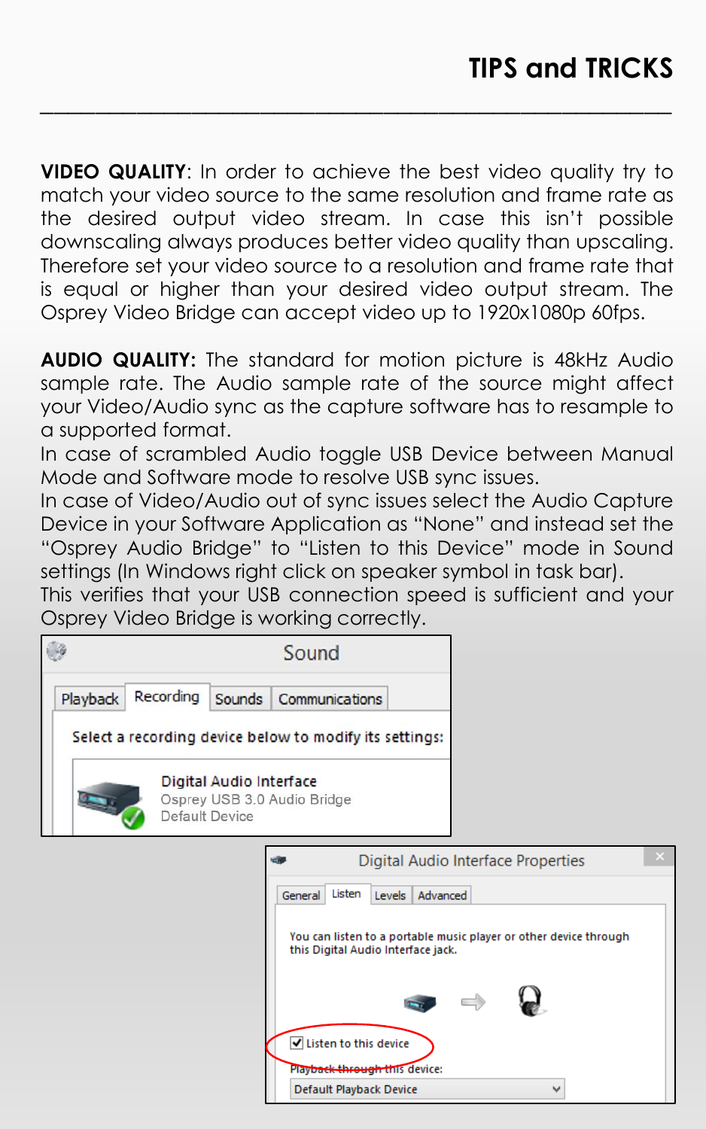**VIDEO QUALITY**: In order to achieve the best video quality try to match your video source to the same resolution and frame rate as the desired output video stream. In case this isn't possible downscaling always produces better video quality than upscaling. Therefore set your video source to a resolution and frame rate that is equal or higher than your desired video output stream. The Osprey Video Bridge can accept video up to 1920x1080p 60fps.

**\_\_\_\_\_\_\_\_\_\_\_\_\_\_\_\_\_\_\_\_\_\_\_\_\_\_\_\_\_\_\_\_\_\_\_\_\_\_\_\_\_\_\_\_\_\_**

**AUDIO QUALITY:** The standard for motion picture is 48kHz Audio sample rate. The Audio sample rate of the source might affect your Video/Audio sync as the capture software has to resample to a supported format.

In case of scrambled Audio toggle USB Device between Manual Mode and Software mode to resolve USB sync issues.

In case of Video/Audio out of sync issues select the Audio Capture Device in your Software Application as "None" and instead set the "Osprey Audio Bridge" to "Listen to this Device" mode in Sound settings (In Windows right click on speaker symbol in task bar).

This verifies that your USB connection speed is sufficient and your Osprey Video Bridge is working correctly.

|                                                                          |           |        | Sound                                                    |                                                                   |  |
|--------------------------------------------------------------------------|-----------|--------|----------------------------------------------------------|-------------------------------------------------------------------|--|
| Playback                                                                 | Recording | Sounds | Communications                                           |                                                                   |  |
|                                                                          |           |        | Select a recording device below to modify its settings:  |                                                                   |  |
| Digital Audio Interface<br>Osprey USB 3.0 Audio Bridge<br>Default Device |           |        |                                                          |                                                                   |  |
|                                                                          |           |        |                                                          | Digital Audio Interface Properties                                |  |
|                                                                          |           |        | Listen<br>Advanced<br>Levels  <br>General                |                                                                   |  |
|                                                                          |           |        | this Digital Audio Interface jack.                       | You can listen to a portable music player or other device through |  |
|                                                                          |           |        |                                                          |                                                                   |  |
|                                                                          |           |        | Usten to this device                                     |                                                                   |  |
|                                                                          |           |        | Playback through this device:<br>Default Playback Device | v                                                                 |  |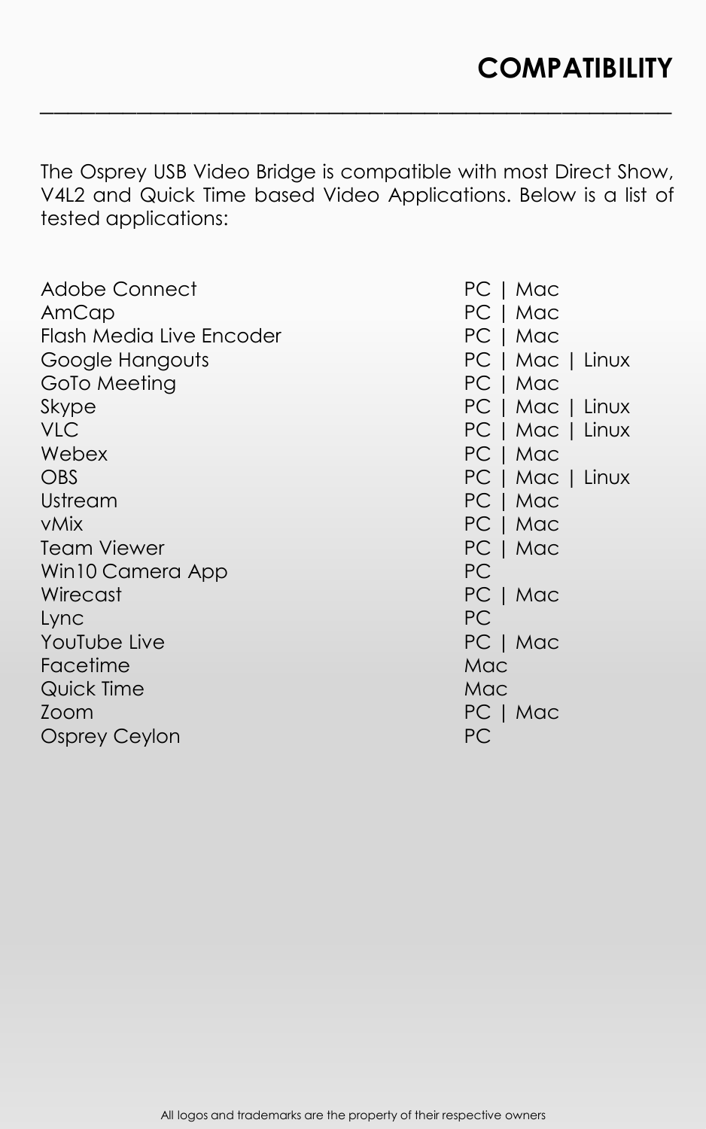The Osprey USB Video Bridge is compatible with most Direct Show, V4L2 and Quick Time based Video Applications. Below is a list of tested applications:

**\_\_\_\_\_\_\_\_\_\_\_\_\_\_\_\_\_\_\_\_\_\_\_\_\_\_\_\_\_\_\_\_\_\_\_\_\_\_\_\_\_\_\_\_\_\_**

| Adobe Connect<br>AmCap   | PC   Mac<br>PC   Mac |
|--------------------------|----------------------|
| Flash Media Live Encoder | PC   Mac             |
| Google Hangouts          | PC   Mac   Linux     |
| GoTo Meeting             | PC   Mac             |
| Skype                    | PC   Mac   Linux     |
| <b>VLC</b>               | PC   Mac   Linux     |
| Webex                    | PC   Mac             |
| <b>OBS</b>               | PC   Mac   Linux     |
| Ustream                  | PC   Mac             |
| <b>vMix</b>              | PC   Mac             |
| <b>Team Viewer</b>       | PC   Mac             |
| Win10 Camera App         | PC.                  |
| Wirecast                 | PC   Mac             |
| Lync                     | <b>PC</b>            |
| YouTube Live             | PC   Mac             |
| Facetime                 | Mac                  |
| Quick Time               | Mac                  |
| Zoom                     | PC   Mac             |
| <b>Osprey Ceylon</b>     | PC                   |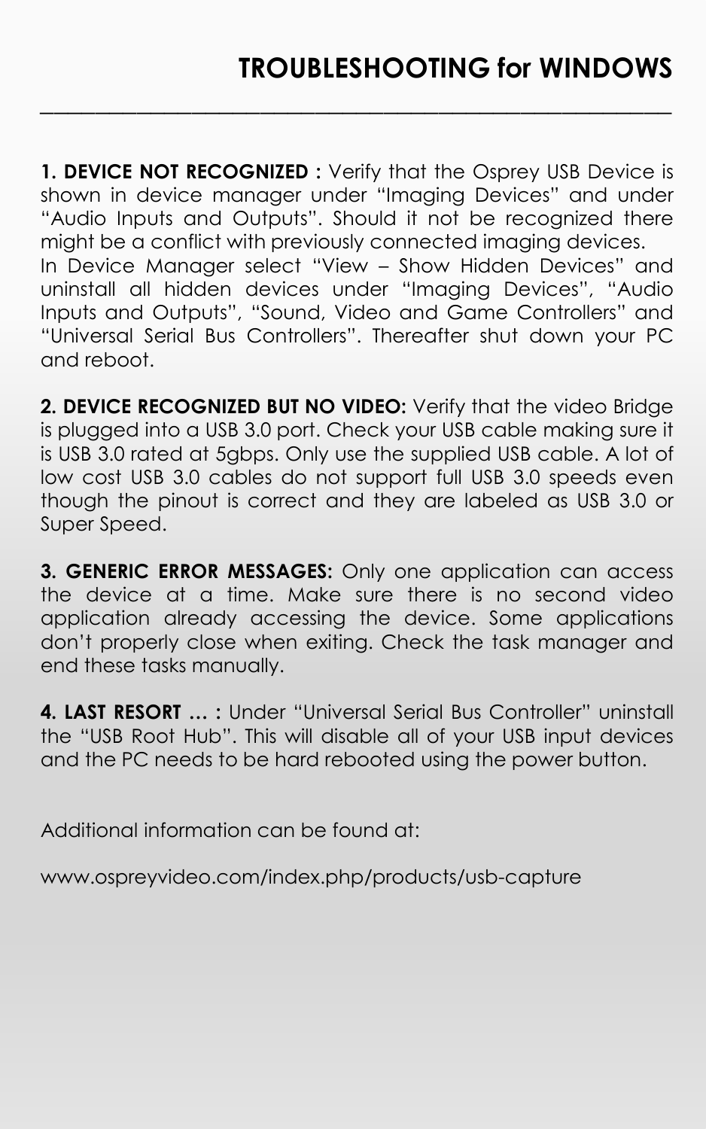**1. DEVICE NOT RECOGNIZED :** Verify that the Osprey USB Device is shown in device manager under "Imaging Devices" and under "Audio Inputs and Outputs". Should it not be recognized there might be a conflict with previously connected imaging devices. In Device Manager select "View – Show Hidden Devices" and uninstall all hidden devices under "Imaging Devices", "Audio Inputs and Outputs", "Sound, Video and Game Controllers" and "Universal Serial Bus Controllers". Thereafter shut down your PC and reboot.

**\_\_\_\_\_\_\_\_\_\_\_\_\_\_\_\_\_\_\_\_\_\_\_\_\_\_\_\_\_\_\_\_\_\_\_\_\_\_\_\_\_\_\_\_\_\_**

**2. DEVICE RECOGNIZED BUT NO VIDEO:** Verify that the video Bridge is plugged into a USB 3.0 port. Check your USB cable making sure it is USB 3.0 rated at 5gbps. Only use the supplied USB cable. A lot of low cost USB 3.0 cables do not support full USB 3.0 speeds even though the pinout is correct and they are labeled as USB 3.0 or Super Speed.

**3. GENERIC ERROR MESSAGES:** Only one application can access the device at a time. Make sure there is no second video application already accessing the device. Some applications don't properly close when exiting. Check the task manager and end these tasks manually.

**4. LAST RESORT … :** Under "Universal Serial Bus Controller" uninstall the "USB Root Hub". This will disable all of your USB input devices and the PC needs to be hard rebooted using the power button.

Additional information can be found at:

www.ospreyvideo.com/index.php/products/usb-capture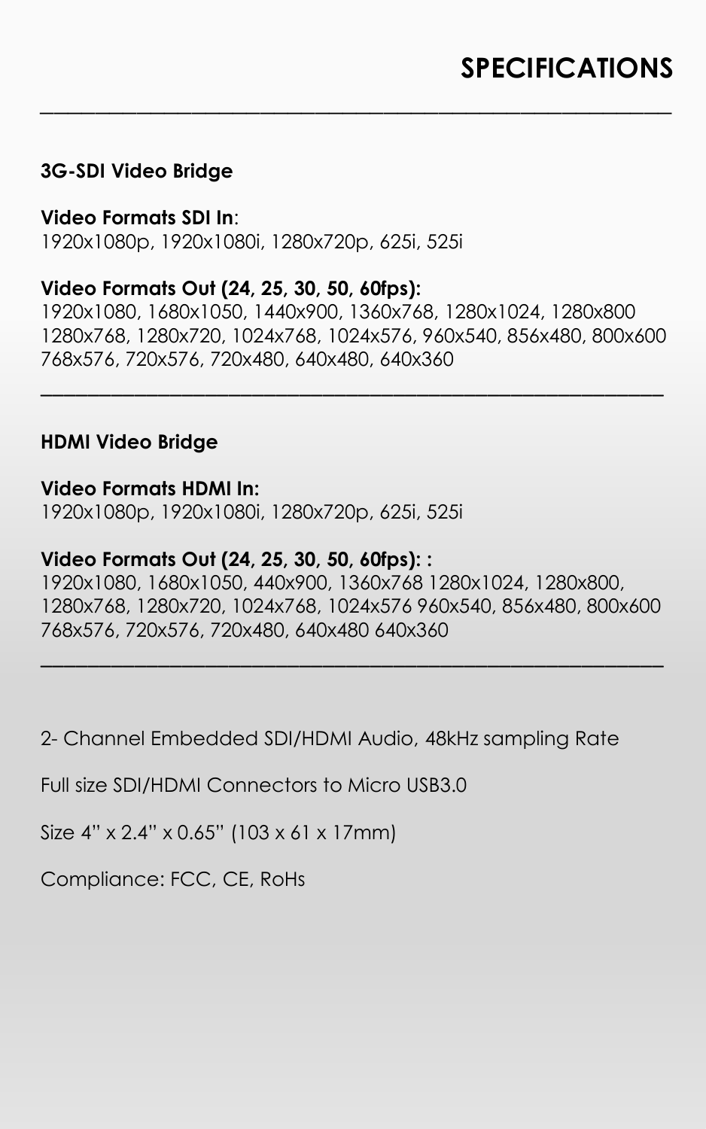#### **3G-SDI Video Bridge**

**Video Formats SDI In**: 1920x1080p, 1920x1080i, 1280x720p, 625i, 525i

#### **Video Formats Out (24, 25, 30, 50, 60fps):**

1920x1080, 1680x1050, 1440x900, 1360x768, 1280x1024, 1280x800 1280x768, 1280x720, 1024x768, 1024x576, 960x540, 856x480, 800x600 768x576, 720x576, 720x480, 640x480, 640x360

\_\_\_\_\_\_\_\_\_\_\_\_\_\_\_\_\_\_\_\_\_\_\_\_\_\_\_\_\_\_\_\_\_\_\_\_\_\_\_\_\_\_\_\_\_\_\_\_\_\_\_\_\_

**\_\_\_\_\_\_\_\_\_\_\_\_\_\_\_\_\_\_\_\_\_\_\_\_\_\_\_\_\_\_\_\_\_\_\_\_\_\_\_\_\_\_\_\_\_\_**

#### **HDMI Video Bridge**

#### **Video Formats HDMI In:**

1920x1080p, 1920x1080i, 1280x720p, 625i, 525i

#### **Video Formats Out (24, 25, 30, 50, 60fps): :**

1920x1080, 1680x1050, 440x900, 1360x768 1280x1024, 1280x800, 1280x768, 1280x720, 1024x768, 1024x576 960x540, 856x480, 800x600 768x576, 720x576, 720x480, 640x480 640x360

\_\_\_\_\_\_\_\_\_\_\_\_\_\_\_\_\_\_\_\_\_\_\_\_\_\_\_\_\_\_\_\_\_\_\_\_\_\_\_\_\_\_\_\_\_\_\_\_\_\_\_\_\_

2- Channel Embedded SDI/HDMI Audio, 48kHz sampling Rate

Full size SDI/HDMI Connectors to Micro USB3.0

Size 4" x 2.4" x 0.65" (103 x 61 x 17mm)

Compliance: FCC, CE, RoHs